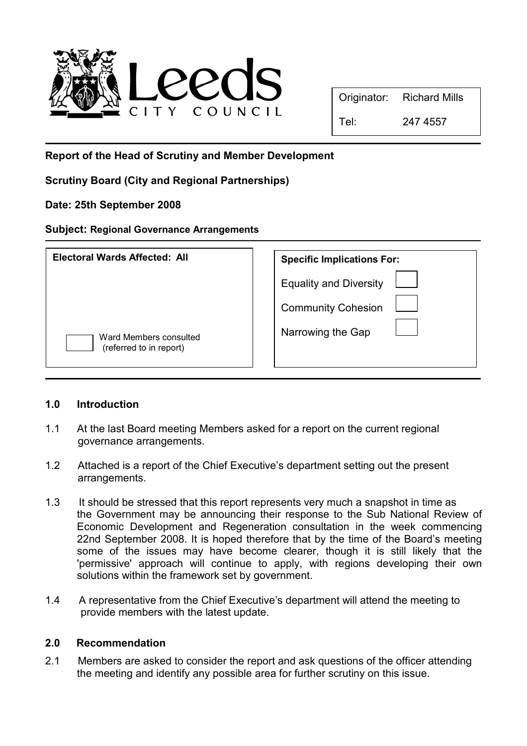

| Originator: | <b>Richard Mills</b> |  |
|-------------|----------------------|--|
|-------------|----------------------|--|

Tel: 247 4557

Report of the Head of Scrutiny and Member Development

Scrutiny Board (City and Regional Partnerships)

Date: 25th September 2008

## Subject: Regional Governance Arrangements

| Electoral Wards Affected: All                     | <b>Specific Implications For:</b>                          |
|---------------------------------------------------|------------------------------------------------------------|
|                                                   | <b>Equality and Diversity</b><br><b>Community Cohesion</b> |
| Ward Members consulted<br>(referred to in report) | Narrowing the Gap                                          |

## 1.0 Introduction

- 1.1 At the last Board meeting Members asked for a report on the current regional governance arrangements.
- 1.2 Attached is a report of the Chief Executive's department setting out the present arrangements.
- 1.3 It should be stressed that this report represents very much a snapshot in time as the Government may be announcing their response to the Sub National Review of Economic Development and Regeneration consultation in the week commencing 22nd September 2008. It is hoped therefore that by the time of the Board's meeting some of the issues may have become clearer, though it is still likely that the 'permissive' approach will continue to apply, with regions developing their own solutions within the framework set by government.
- 1.4 A representative from the Chief Executive's department will attend the meeting to provide members with the latest update.

## 2.0 Recommendation

2.1 Members are asked to consider the report and ask questions of the officer attending the meeting and identify any possible area for further scrutiny on this issue.